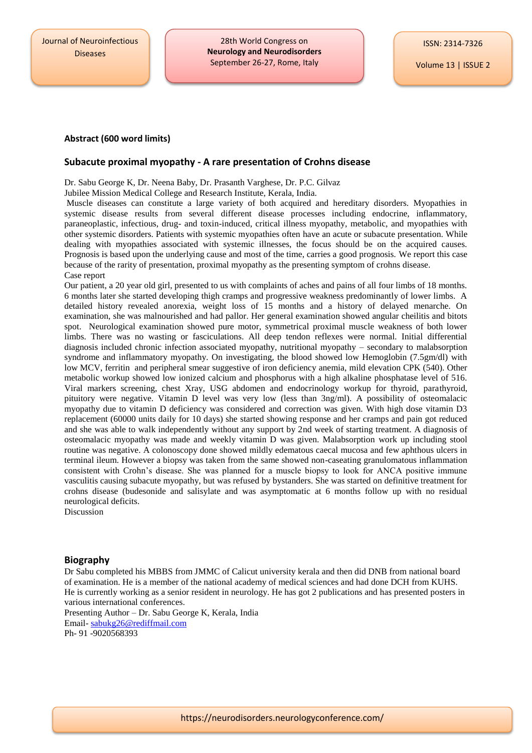28th World Congress on **Neurology and Neurodisorders** September 26-27, Rome, Italy

Volume 13 | ISSUE 2

## **Abstract (600 word limits)**

## **Subacute proximal myopathy - A rare presentation of Crohns disease**

Dr. Sabu George K, Dr. Neena Baby, Dr. Prasanth Varghese, Dr. P.C. Gilvaz

Jubilee Mission Medical College and Research Institute, Kerala, India.

Muscle diseases can constitute a large variety of both acquired and hereditary disorders. Myopathies in systemic disease results from several different disease processes including endocrine, inflammatory, paraneoplastic, infectious, drug- and toxin-induced, critical illness myopathy, metabolic, and myopathies with other systemic disorders. Patients with systemic myopathies often have an acute or subacute presentation. While dealing with myopathies associated with systemic illnesses, the focus should be on the acquired causes. Prognosis is based upon the underlying cause and most of the time, carries a good prognosis. We report this case because of the rarity of presentation, proximal myopathy as the presenting symptom of crohns disease. Case report

Our patient, a 20 year old girl, presented to us with complaints of aches and pains of all four limbs of 18 months. 6 months later she started developing thigh cramps and progressive weakness predominantly of lower limbs. A detailed history revealed anorexia, weight loss of 15 months and a history of delayed menarche. On examination, she was malnourished and had pallor. Her general examination showed angular cheilitis and bitots spot. Neurological examination showed pure motor, symmetrical proximal muscle weakness of both lower limbs. There was no wasting or fasciculations. All deep tendon reflexes were normal. Initial differential diagnosis included chronic infection associated myopathy, nutritional myopathy – secondary to malabsorption syndrome and inflammatory myopathy. On investigating, the blood showed low Hemoglobin (7.5gm/dl) with low MCV, ferritin and peripheral smear suggestive of iron deficiency anemia, mild elevation CPK (540). Other metabolic workup showed low ionized calcium and phosphorus with a high alkaline phosphatase level of 516. Viral markers screening, chest Xray, USG abdomen and endocrinology workup for thyroid, parathyroid, pituitory were negative. Vitamin D level was very low (less than 3ng/ml). A possibility of osteomalacic myopathy due to vitamin D deficiency was considered and correction was given. With high dose vitamin D3 replacement (60000 units daily for 10 days) she started showing response and her cramps and pain got reduced and she was able to walk independently without any support by 2nd week of starting treatment. A diagnosis of osteomalacic myopathy was made and weekly vitamin D was given. Malabsorption work up including stool routine was negative. A colonoscopy done showed mildly edematous caecal mucosa and few aphthous ulcers in terminal ileum. However a biopsy was taken from the same showed non-caseating granulomatous inflammation consistent with Crohn's disease. She was planned for a muscle biopsy to look for ANCA positive immune vasculitis causing subacute myopathy, but was refused by bystanders. She was started on definitive treatment for crohns disease (budesonide and salisylate and was asymptomatic at 6 months follow up with no residual neurological deficits.

Discussion

## **Biography**

Dr Sabu completed his MBBS from JMMC of Calicut university kerala and then did DNB from national board of examination. He is a member of the national academy of medical sciences and had done DCH from KUHS. He is currently working as a senior resident in neurology. He has got 2 publications and has presented posters in various international conferences.

Presenting Author – Dr. Sabu George K, Kerala, India Email- [sabukg26@rediffmail.com](mailto:sabukg26@rediffmail.com) Ph- 91 -9020568393